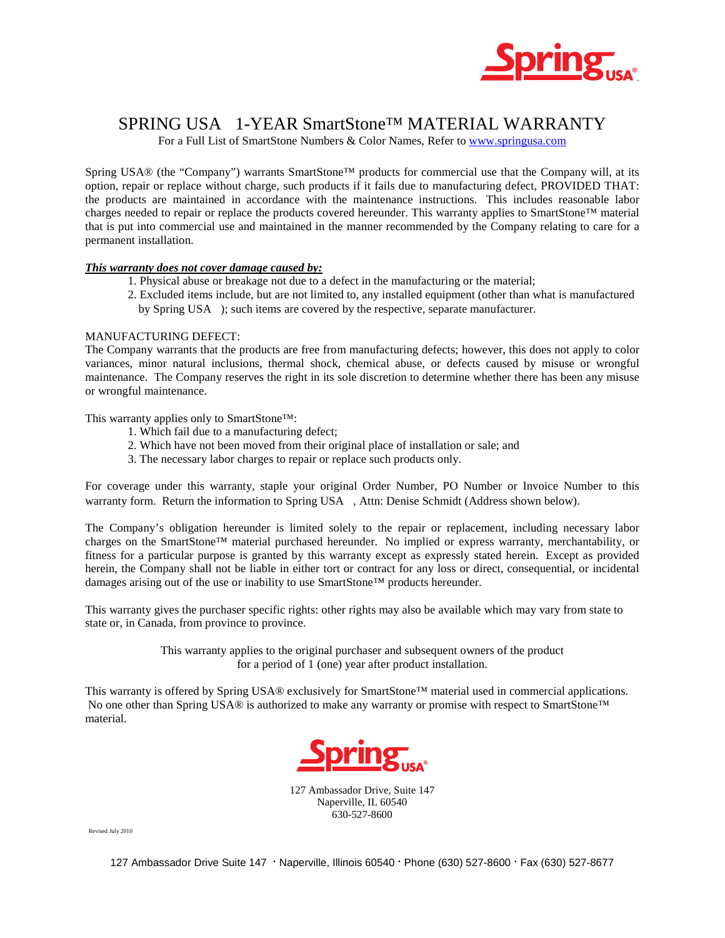

### SPRING USA® 1-YEAR SmartStone™ MATERIAL WARRANTY

For a Full List of SmartStone Numbers & Color Names, Refer to www.springusa.com

Spring USA® (the "Company") warrants SmartStone™ products for commercial use that the Company will, at its option, repair or replace without charge, such products if it fails due to manufacturing defect, PROVIDED THAT: the products are maintained in accordance with the maintenance instructions. This includes reasonable labor charges needed to repair or replace the products covered hereunder. This warranty applies to SmartStone™ material that is put into commercial use and maintained in the manner recommended by the Company relating to care for a permanent installation.

#### *This warranty does not cover damage caused by:*

- 1. Physical abuse or breakage not due to a defect in the manufacturing or the material;
- 2. Excluded items include, but are not limited to, any installed equipment (other than what is manufactured by Spring USA®); such items are covered by the respective, separate manufacturer.

#### MANUFACTURING DEFECT:

The Company warrants that the products are free from manufacturing defects; however, this does not apply to color variances, minor natural inclusions, thermal shock, chemical abuse, or defects caused by misuse or wrongful maintenance. The Company reserves the right in its sole discretion to determine whether there has been any misuse or wrongful maintenance.

This warranty applies only to SmartStone™:

- 1. Which fail due to a manufacturing defect;
- 2. Which have not been moved from their original place of installation or sale; and
- 3. The necessary labor charges to repair or replace such products only.

For coverage under this warranty, staple your original Order Number, PO Number or Invoice Number to this warranty form. Return the information to Spring USA®, Attn: Denise Schmidt (Address shown below).

The Company's obligation hereunder is limited solely to the repair or replacement, including necessary labor charges on the SmartStone™ material purchased hereunder. No implied or express warranty, merchantability, or fitness for a particular purpose is granted by this warranty except as expressly stated herein. Except as provided herein, the Company shall not be liable in either tort or contract for any loss or direct, consequential, or incidental damages arising out of the use or inability to use SmartStone™ products hereunder.

This warranty gives the purchaser specific rights: other rights may also be available which may vary from state to state or, in Canada, from province to province.

> This warranty applies to the original purchaser and subsequent owners of the product for a period of 1 (one) year after product installation.

This warranty is offered by Spring USA® exclusively for SmartStone™ material used in commercial applications. No one other than Spring USA® is authorized to make any warranty or promise with respect to SmartStone™ material.



127 Ambassador Drive, Suite 147 Naperville, IL 60540  $630 - 527 - 8600$ 

Revised July 2010

127 Ambassador Drive Suite 147 · Naperville, Illinois 60540 · Phone (630) 527-8600 · Fax (630) 527-8677